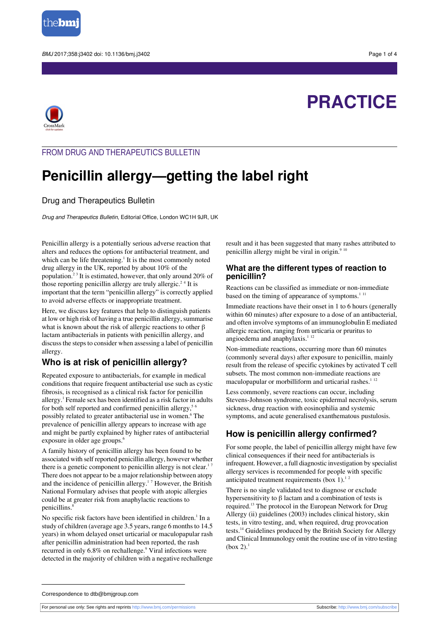

# **PRACTICE**



## FROM DRUG AND THERAPEUTICS BULLETIN

## **Penicillin allergy—getting the label right**

#### Drug and Therapeutics Bulletin

Drug and Therapeutics Bulletin, Editorial Office, London WC1H 9JR, UK

Penicillin allergy is a potentially serious adverse reaction that alters and reduces the options for antibacterial treatment, and which can be life threatening. $<sup>1</sup>$  It is the most commonly noted</sup> drug allergy in the UK, reported by about 10% of the population.<sup>23</sup> It is estimated, however, that only around 20% of those reporting penicillin allergy are truly allergic.<sup>24</sup> It is important that the term "penicillin allergy" is correctly applied to avoid adverse effects or inappropriate treatment.

Here, we discuss key features that help to distinguish patients at low or high risk of having a true penicillin allergy, summarise what is known about the risk of allergic reactions to other  $\beta$ lactam antibacterials in patients with penicillin allergy, and discuss the steps to consider when assessing a label of penicillin allergy.

#### **Who is at risk of penicillin allergy?**

Repeated exposure to antibacterials, for example in medical conditions that require frequent antibacterial use such as cystic fibrosis, is recognised as a clinical risk factor for penicillin allergy.<sup>1</sup> Female sex has been identified as a risk factor in adults for both self reported and confirmed penicillin allergy,<sup>56</sup> possibly related to greater antibacterial use in women.<sup>6</sup> The prevalence of penicillin allergy appears to increase with age and might be partly explained by higher rates of antibacterial exposure in older age groups.<sup>6</sup>

A family history of penicillin allergy has been found to be associated with self reported penicillin allergy, however whether there is a genetic component to penicillin allergy is not clear.<sup>17</sup> There does not appear to be a major relationship between atopy and the incidence of penicillin allergy.<sup>17</sup> However, the British National Formulary advises that people with atopic allergies could be at greater risk from anaphylactic reactions to penicillins.<sup>8</sup>

No specific risk factors have been identified in children.<sup>1</sup> In a study of children (average age 3.5 years, range 6 months to 14.5 years) in whom delayed onset urticarial or maculopapular rash after penicillin administration had been reported, the rash recurred in only 6.8% on rechallenge.<sup>9</sup> Viral infections were detected in the majority of children with a negative rechallenge result and it has been suggested that many rashes attributed to penicillin allergy might be viral in origin. $910$ 

#### **What are the different types of reaction to penicillin?**

Reactions can be classified as immediate or non-immediate based on the timing of appearance of symptoms. $111$ 

Immediate reactions have their onset in 1 to 6 hours (generally within 60 minutes) after exposure to a dose of an antibacterial, and often involve symptoms of an immunoglobulin E mediated allergic reaction, ranging from urticaria or pruritus to angioedema and anaphylaxis.<sup>112</sup>

Non-immediate reactions, occurring more than 60 minutes (commonly several days) after exposure to penicillin, mainly result from the release of specific cytokines by activated T cell subsets. The most common non-immediate reactions are maculopapular or morbilliform and urticarial rashes. $1^{12}$ 

Less commonly, severe reactions can occur, including Stevens-Johnson syndrome, toxic epidermal necrolysis, serum sickness, drug reaction with eosinophilia and systemic symptoms, and acute generalised exanthematous pustulosis.

## **How is penicillin allergy confirmed?**

For some people, the label of penicillin allergy might have few clinical consequences if their need for antibacterials is infrequent. However, a full diagnostic investigation by specialist allergy services is recommended for people with specific anticipated treatment requirements (box 1). $12$ 

There is no single validated test to diagnose or exclude hypersensitivity to β lactam and a combination of tests is required.<sup>13</sup> The protocol in the European Network for Drug Allergy (ii) guidelines (2003) includes clinical history, skin tests, in vitro testing, and, when required, drug provocation tests.<sup>14</sup> Guidelines produced by the British Society for Allergy and Clinical Immunology omit the routine use of in vitro testing  $(box 2)^1$ 

Correspondence to dtb@bmjgroup.com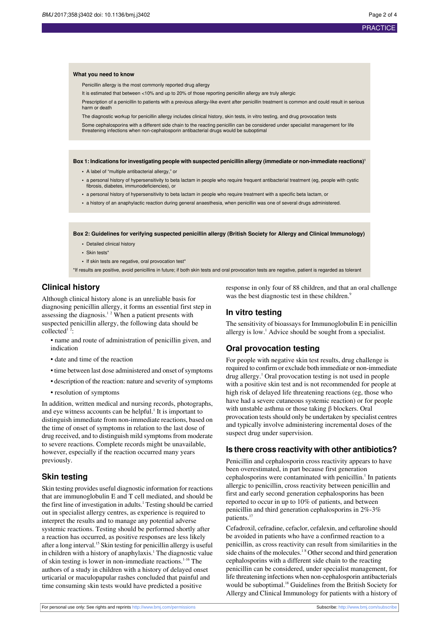#### **PRACTICE**

#### **What you need to know**

Penicillin allergy is the most commonly reported drug allergy

It is estimated that between <10% and up to 20% of those reporting penicillin allergy are truly allergic

Prescription of a penicillin to patients with a previous allergy-like event after penicillin treatment is common and could result in serious harm or death

The diagnostic workup for penicillin allergy includes clinical history, skin tests, in vitro testing, and drug provocation tests

Some cephalosporins with a different side chain to the reacting penicillin can be considered under specialist management for life threatening infections when non-cephalosporin antibacterial drugs would be suboptimal

**Box 1: Indications for investigating people with suspected penicillin allergy (immediate or non-immediate reactions)<sup>1</sup>**

- **•** A label of "multiple antibacterial allergy," or
- a personal history of hypersensitivity to beta lactam in people who require frequent antibacterial treatment (eg, people with cystic fibrosis, diabetes, immunodeficiencies), or
- **•** a personal history of hypersensitivity to beta lactam in people who require treatment with a specific beta lactam, or
- **•** a history of an anaphylactic reaction during general anaesthesia, when penicillin was one of several drugs administered.

**Box 2: Guidelines for verifying suspected penicillin allergy (British Society for Allergy and Clinical Immunology)**

- **•** Detailed clinical history
- Skin tests
- **•** If skin tests are negative, oral provocation test\*

\*If results are positive, avoid penicillins in future; if both skin tests and oral provocation tests are negative, patient is regarded as tolerant

## **Clinical history**

Although clinical history alone is an unreliable basis for diagnosing penicillin allergy, it forms an essential first step in assessing the diagnosis.<sup>12</sup> When a patient presents with suspected penicillin allergy, the following data should be  $collected<sup>1</sup>$ :

- name and route of administration of penicillin given, and indication
- date and time of the reaction
- time between last dose administered and onset of symptoms
- description of the reaction: nature and severity of symptoms
- resolution of symptoms

In addition, written medical and nursing records, photographs, and eye witness accounts can be helpful.<sup>1</sup> It is important to distinguish immediate from non-immediate reactions, based on the time of onset of symptoms in relation to the last dose of drug received, and to distinguish mild symptoms from moderate to severe reactions. Complete records might be unavailable, however, especially if the reaction occurred many years previously.

## **Skin testing**

Skin testing provides useful diagnostic information for reactions that are immunoglobulin E and T cell mediated, and should be the first line of investigation in adults.<sup>1</sup> Testing should be carried out in specialist allergy centres, as experience is required to interpret the results and to manage any potential adverse systemic reactions. Testing should be performed shortly after a reaction has occurred, as positive responses are less likely after a long interval.<sup>15</sup> Skin testing for penicillin allergy is useful in children with a history of anaphylaxis.<sup>1</sup> The diagnostic value of skin testing is lower in non-immediate reactions.<sup>1-16</sup> The authors of a study in children with a history of delayed onset urticarial or maculopapular rashes concluded that painful and time consuming skin tests would have predicted a positive

response in only four of 88 children, and that an oral challenge was the best diagnostic test in these children.<sup>9</sup>

#### **In vitro testing**

The sensitivity of bioassays for Immunoglobulin E in penicillin allergy is low.<sup>1</sup> Advice should be sought from a specialist.

#### **Oral provocation testing**

For people with negative skin test results, drug challenge is required to confirm or exclude both immediate or non-immediate drug allergy.<sup>1</sup> Oral provocation testing is not used in people with a positive skin test and is not recommended for people at high risk of delayed life threatening reactions (eg, those who have had a severe cutaneous systemic reaction) or for people with unstable asthma or those taking β blockers. Oral provocation tests should only be undertaken by specialist centres and typically involve administering incremental doses of the suspect drug under supervision.

#### **Is there cross reactivity with other antibiotics?**

Penicillin and cephalosporin cross reactivity appears to have been overestimated, in part because first generation cephalosporins were contaminated with penicillin.<sup>1</sup> In patients allergic to penicillin, cross reactivity between penicillin and first and early second generation cephalosporins has been reported to occur in up to 10% of patients, and between penicillin and third generation cephalosporins in 2%-3% patients.<sup>17</sup>

Cefadroxil, cefradine, cefaclor, cefalexin, and ceftaroline should be avoided in patients who have a confirmed reaction to a penicillin, as cross reactivity can result from similarities in the side chains of the molecules.<sup>18</sup> Other second and third generation cephalosporins with a different side chain to the reacting penicillin can be considered, under specialist management, for life threatening infections when non-cephalosporin antibacterials would be suboptimal.<sup>18</sup> Guidelines from the British Society for Allergy and Clinical Immunology for patients with a history of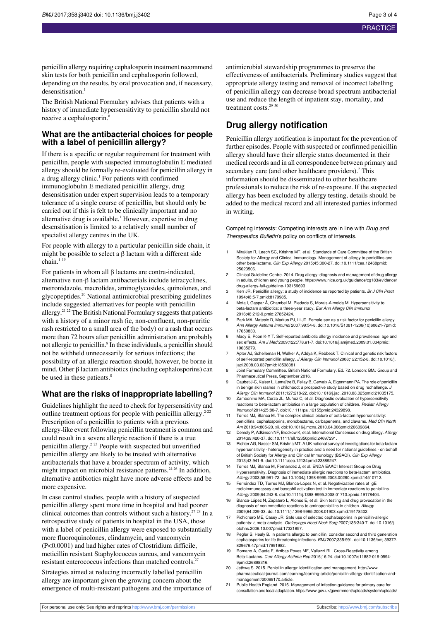penicillin allergy requiring cephalosporin treatment recommend skin tests for both penicillin and cephalosporin followed, depending on the results, by oral provocation and, if necessary, desensitisation.<sup>1</sup>

The British National Formulary advises that patients with a history of immediate hypersensitivity to penicillin should not receive a cephalosporin.<sup>8</sup>

#### **What are the antibacterial choices for people with a label of penicillin allergy?**

If there is a specific or regular requirement for treatment with penicillin, people with suspected immunoglobulin E mediated allergy should be formally re-evaluated for penicillin allergy in a drug allergy clinic.<sup>1</sup> For patients with confirmed immunoglobulin E mediated penicillin allergy, drug desensitisation under expert supervision leads to a temporary tolerance of a single course of penicillin, but should only be carried out if this is felt to be clinically important and no alternative drug is available.<sup>1</sup> However, expertise in drug desensitisation is limited to a relatively small number of specialist allergy centres in the UK.

For people with allergy to a particular penicillin side chain, it might be possible to select a  $\beta$  lactam with a different side chain. $11$ 

For patients in whom all β lactams are contra-indicated, alternative non-β lactam antibacterials include tetracyclines, metronidazole, macrolides, aminoglycosides, quinolones, and glycopeptides.<sup>20</sup> National antimicrobial prescribing guidelines include suggested alternatives for people with penicillin allergy.<sup>21 22</sup> The British National Formulary suggests that patients with a history of a minor rash (ie, non-confluent, non-pruritic rash restricted to a small area of the body) or a rash that occurs more than 72 hours after penicillin administration are probably not allergic to penicillin.<sup>8</sup> In these individuals, a penicillin should not be withheld unnecessarily for serious infections; the possibility of an allergic reaction should, however, be borne in mind. Other  $\beta$  lactam antibiotics (including cephalosporins) can be used in these patients.<sup>8</sup>

## **What are the risks of inappropriate labelling?**

Guidelines highlight the need to check for hypersensitivity and outline treatment options for people with penicillin allergy. $2-22$ Prescription of a penicillin to patients with a previous allergy-like event following penicillin treatment is common and could result in a severe allergic reaction if there is a true penicillin allergy.<sup>2 23</sup> People with suspected but unverified penicillin allergy are likely to be treated with alternative antibacterials that have a broader spectrum of activity, which might impact on microbial resistance patterns.24-26 In addition, alternative antibiotics might have more adverse effects and be more expensive.

In case control studies, people with a history of suspected penicillin allergy spent more time in hospital and had poorer clinical outcomes than controls without such a history.<sup>27 28</sup> In a retrospective study of patients in hospital in the USA, those with a label of penicillin allergy were exposed to substantially more fluoroquinolones, clindamycin, and vancomycin (P<0.0001) and had higher rates of Clostridium difficile, meticillin resistant Staphylococcus aureus, and vancomycin resistant enterococcus infections than matched controls.<sup>2</sup>

Strategies aimed at reducing incorrectly labelled penicillin allergy are important given the growing concern about the emergence of multi-resistant pathogens and the importance of antimicrobial stewardship programmes to preserve the effectiveness of antibacterials. Preliminary studies suggest that appropriate allergy testing and removal of incorrect labelling of penicillin allergy can decrease broad spectrum antibacterial use and reduce the length of inpatient stay, mortality, and treatment costs.<sup>29</sup><sup>30</sup>

## **Drug allergy notification**

Penicillin allergy notification is important for the prevention of further episodes. People with suspected or confirmed penicillin allergy should have their allergic status documented in their medical records and in all correspondence between primary and secondary care (and other healthcare providers).<sup>2</sup> This information should be disseminated to other healthcare professionals to reduce the risk of re-exposure. If the suspected allergy has been excluded by allergy testing, details should be added to the medical record and all interested parties informed in writing.

Competing interests: Competing interests are in line with Drug and Therapeutics Bulletin's policy on conflicts of interests.

- Mirakian R, Leech SC, Krishna MT, et al. Standards of Care Committee of the British Society for Allergy and Clinical Immunology. Management of allergy to penicillins and<br>other beta-lactams. *Clin Exp Allergy* 2015;45:300-27. [doi:10.1111/cea.12468](http://dx.doi.org/10.1111/cea.12468)[pmid:](http://www.ncbi.nlm.nih.gov/pubmed/?term=25623506) [25623506.](http://www.ncbi.nlm.nih.gov/pubmed/?term=25623506)
- 2 Clinical Guideline Centre. 2014. Drug allergy: diagnosis and management of drug allergy in adults, children and young people. https://www.nice.org.uk/guidance/cg183/evide drug-allergy-full-guideline-193159693
- 3 Kerr JR. Penicillin allergy: a study of incidence as reported by patients. Br J Clin Pract 1994;48:5-7[.pmid:8179985](http://www.ncbi.nlm.nih.gov/pubmed/?term=8179985).
- 4 Mota I, Gaspar Â, Chambel M, Piedade S, Morais-Almeida M. Hypersensitivity to beta-lactam antibiotics: a three-year study. Eur Ann Allergy Clin Immunol 2016;48:212-9.[pmid:27852424](http://www.ncbi.nlm.nih.gov/pubmed/?term=27852424).
- 5 Park MA, Matesic D, Markus PJ, Li JT. Female sex as a risk factor for penicillin allergy. Ann Allergy Asthma Immunol 2007;99:54-8. [doi:10.1016/S1081-1206\(10\)60621-7](http://dx.doi.org/10.1016/S1081-1206(10)60621-7)[pmid:](http://www.ncbi.nlm.nih.gov/pubmed/?term=17650830) [17650830.](http://www.ncbi.nlm.nih.gov/pubmed/?term=17650830)
- 6 Macy E, Poon K-Y T. Self-reported antibiotic allergy incidence and prevalence: age and sex effects. Am J Med 2009;122:778.e1-7. [doi:10.1016/j.amjmed.2009.01.034](http://dx.doi.org/10.1016/j.amjmed.2009.01.034)[pmid:](http://www.ncbi.nlm.nih.gov/pubmed/?term=19635279) [19635279.](http://www.ncbi.nlm.nih.gov/pubmed/?term=19635279)
- 7 Apter AJ, Schelleman H, Walker A, Addya K, Rebbeck T. Clinical and genetic risk factors of self-reported penicillin allergy. J Allergy Clin Immunol 2008;122:152-8. [doi:10.1016/j.](http://dx.doi.org/10.1016/j.jaci.2008.03.037) [jaci.2008.03.037](http://dx.doi.org/10.1016/j.jaci.2008.03.037)[pmid:18538381.](http://www.ncbi.nlm.nih.gov/pubmed/?term=18538381)
- 8 Joint Formulary Committee. British National Formulary. Ed. 72. London: BMJ Group and Pharmaceutical Press, September 2016.
- 9 Caubet J-C, Kaiser L, Lemaître B, Fellay B, Gervaix A, Eigenmann PA. The role of penicillin in benign skin rashes in childhood: a prospective study based on drug rechallenge. J Allergy Clin Immunol 2011;127:218-22. [doi:10.1016/j.jaci.2010.08.025](http://dx.doi.org/10.1016/j.jaci.2010.08.025)[pmid:21035175](http://www.ncbi.nlm.nih.gov/pubmed/?term=21035175).
- 10 Zambonino MA, Corzo JL, Muñoz C, et al. Diagnostic evaluation of hypersensitivity reactions to beta-lactam antibiotics in a large population of children. Pediatr Allergy Immunol 2014;25:80-7. [doi:10.1111/pai.12155](http://dx.doi.org/10.1111/pai.12155)[pmid:24329898.](http://www.ncbi.nlm.nih.gov/pubmed/?term=24329898)
- 11 Torres MJ, Blanca M. The complex clinical picture of beta-lactam hypersensitivity: penicillins, cephalosporins, monobactams, carbapenems, and clavams. Med Clin North Am 2010;94:805-20, xii. [doi:10.1016/j.mcna.2010.04.006](http://dx.doi.org/10.1016/j.mcna.2010.04.006)[pmid:20609864.](http://www.ncbi.nlm.nih.gov/pubmed/?term=20609864)
- 12 Demoly P, Adkinson NF, Brockow K, et al. International Consensus on drug allergy. Allergy 2014;69:420-37. [doi:10.1111/all.12350](http://dx.doi.org/10.1111/all.12350)[pmid:24697291.](http://www.ncbi.nlm.nih.gov/pubmed/?term=24697291)
- 13 Richter AG, Nasser SM, Krishna MT. A UK national survey of investigations for beta-lactam hypersensitivity - heterogeneity in practice and a need for national guidelines - on behalf of British Society for Allergy and Clinical Immunology (BSACI). Clin Exp Allergy
- 2013;43:941-9. [doi:10.1111/cea.12134](http://dx.doi.org/10.1111/cea.12134)[pmid:23889247](http://www.ncbi.nlm.nih.gov/pubmed/?term=23889247). 14 Torres MJ, Blanca M, Fernandez J, et al. ENDA EAACI Interest Group on Drug Hypersensitivity. Diagnosis of immediate allergic reactions to beta-lactam antibiotics. Allergy 2003;58:961-72. [doi:10.1034/j.1398-9995.2003.00280.x](http://dx.doi.org/10.1034/j.1398-9995.2003.00280.x)[pmid:14510712](http://www.ncbi.nlm.nih.gov/pubmed/?term=14510712).
- 15 Fernández TD, Torres MJ, Blanca-López N, et al. Negativization rates of IgE radioimmunoassay and basophil activation test in immediate reactions to penicillins. Allergy 2009;64:242-8. [doi:10.1111/j.1398-9995.2008.01713.x](http://dx.doi.org/10.1111/j.1398-9995.2008.01713.x)[pmid:19178404](http://www.ncbi.nlm.nih.gov/pubmed/?term=19178404).
- Blanca-López N, Zapatero L, Alonso E, et al. Skin testing and drug provocation in the diagnosis of nonimmediate reactions to aminopenicillins in children. Allergy 2009;64:229-33. [doi:10.1111/j.1398-9995.2008.01903.x](http://dx.doi.org/10.1111/j.1398-9995.2008.01903.x)[pmid:19178402](http://www.ncbi.nlm.nih.gov/pubmed/?term=19178402).
- Pichichero ME, Casey JR. Safe use of selected cephalosporins in penicillin-allergic patients: a meta-analysis. Otolaryngol Head Neck Surg 2007;136:340-7. [doi:10.1016/j.](http://dx.doi.org/10.1016/j.otohns.2006.10.007) [otohns.2006.10.007](http://dx.doi.org/10.1016/j.otohns.2006.10.007)[pmid:17321857](http://www.ncbi.nlm.nih.gov/pubmed/?term=17321857).
- 18 Pegler S, Healy B. In patients allergic to penicillin, consider second and third generation cephalosporins for life threatening infections. BMJ 2007;335:991. [doi:10.1136/bmj.39372.](http://dx.doi.org/10.1136/bmj.39372.829676.47) [829676.47](http://dx.doi.org/10.1136/bmj.39372.829676.47)[pmid:17991982](http://www.ncbi.nlm.nih.gov/pubmed/?term=17991982).
- 19 Romano A, Gaeta F, Arribas Poves MF, Valluzzi RL. Cross-Reactivity among Beta-Lactams. Curr Allergy Asthma Rep 2016;16:24. [doi:10.1007/s11882-016-0594-](http://dx.doi.org/10.1007/s11882-016-0594-9) [9](http://dx.doi.org/10.1007/s11882-016-0594-9)[pmid:26898316.](http://www.ncbi.nlm.nih.gov/pubmed/?term=26898316)
- 20 Jethwa S. 2015. Penicillin allergy: identification and management. [http://www.](http://www.pharmaceutical-journal.com/learning/learning-article/penicillin-allergy-identification-and-management/20069170) [pharmaceutical-journal.com/learning/learning-article/penicillin-allergy-identification-and](http://www.pharmaceutical-journal.com/learning/learning-article/penicillin-allergy-identification-and-management/20069170)[management/20069170](http://www.pharmaceutical-journal.com/learning/learning-article/penicillin-allergy-identification-and-management/20069170).article.
- 21 Public Health England. 2016. Management of infection guidance for primary care for consultation and local adaptation. https://www.gov.uk/government/uploads/system/uploads/